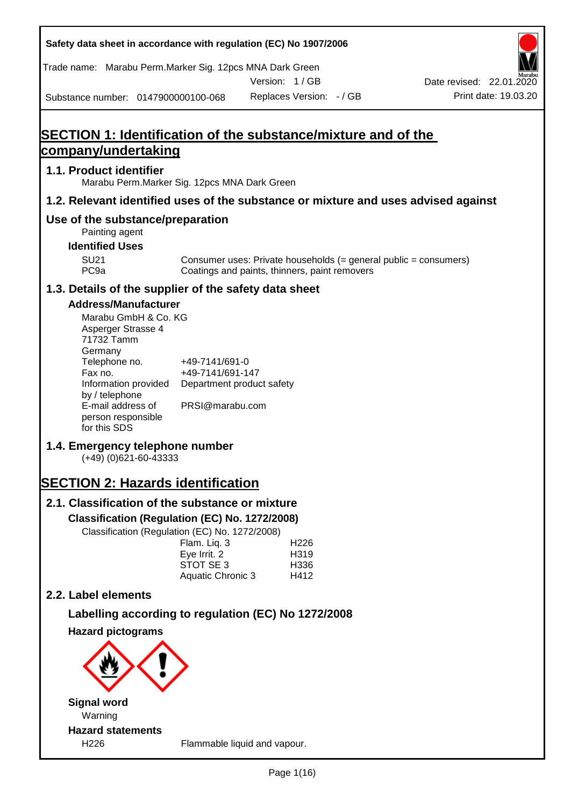| Safety data sheet in accordance with regulation (EC) No 1907/2006                                                                                                                                                                                                                                                                                                                                                                                                                                    |                                                                                                                                                      |                                          |                                               |                                                                  |
|------------------------------------------------------------------------------------------------------------------------------------------------------------------------------------------------------------------------------------------------------------------------------------------------------------------------------------------------------------------------------------------------------------------------------------------------------------------------------------------------------|------------------------------------------------------------------------------------------------------------------------------------------------------|------------------------------------------|-----------------------------------------------|------------------------------------------------------------------|
| Trade name: Marabu Perm. Marker Sig. 12pcs MNA Dark Green                                                                                                                                                                                                                                                                                                                                                                                                                                            |                                                                                                                                                      | Version: 1/GB                            |                                               | Date revised: 22.01.2020                                         |
| Substance number: 0147900000100-068                                                                                                                                                                                                                                                                                                                                                                                                                                                                  |                                                                                                                                                      |                                          | Replaces Version: - / GB                      | Print date: 19.03.20                                             |
|                                                                                                                                                                                                                                                                                                                                                                                                                                                                                                      |                                                                                                                                                      |                                          |                                               |                                                                  |
| SECTION 1: Identification of the substance/mixture and of the                                                                                                                                                                                                                                                                                                                                                                                                                                        |                                                                                                                                                      |                                          |                                               |                                                                  |
| company/undertaking                                                                                                                                                                                                                                                                                                                                                                                                                                                                                  |                                                                                                                                                      |                                          |                                               |                                                                  |
| 1.1. Product identifier<br>Marabu Perm. Marker Sig. 12pcs MNA Dark Green                                                                                                                                                                                                                                                                                                                                                                                                                             |                                                                                                                                                      |                                          |                                               |                                                                  |
| 1.2. Relevant identified uses of the substance or mixture and uses advised against                                                                                                                                                                                                                                                                                                                                                                                                                   |                                                                                                                                                      |                                          |                                               |                                                                  |
| Use of the substance/preparation<br>Painting agent                                                                                                                                                                                                                                                                                                                                                                                                                                                   |                                                                                                                                                      |                                          |                                               |                                                                  |
| <b>Identified Uses</b>                                                                                                                                                                                                                                                                                                                                                                                                                                                                               |                                                                                                                                                      |                                          |                                               |                                                                  |
| <b>SU21</b><br>PC <sub>9a</sub>                                                                                                                                                                                                                                                                                                                                                                                                                                                                      |                                                                                                                                                      |                                          | Coatings and paints, thinners, paint removers | Consumer uses: Private households (= general public = consumers) |
| 1.3. Details of the supplier of the safety data sheet                                                                                                                                                                                                                                                                                                                                                                                                                                                |                                                                                                                                                      |                                          |                                               |                                                                  |
| <b>Address/Manufacturer</b><br>Marabu GmbH & Co. KG<br>Asperger Strasse 4<br>71732 Tamm<br>Germany<br>Telephone no.<br>Fax no.<br>Information provided<br>by / telephone<br>E-mail address of<br>person responsible<br>for this SDS<br>1.4. Emergency telephone number<br>$(+49)$ (0)621-60-43333<br><b>SECTION 2: Hazards identification</b><br>2.1. Classification of the substance or mixture<br>Classification (Regulation (EC) No. 1272/2008)<br>Classification (Regulation (EC) No. 1272/2008) | +49-7141/691-0<br>+49-7141/691-147<br>Department product safety<br>PRSI@marabu.com<br>Flam. Liq. 3<br>Eye Irrit. 2<br>STOT SE 3<br>Aquatic Chronic 3 | H <sub>226</sub><br>H319<br>H336<br>H412 |                                               |                                                                  |
| 2.2. Label elements                                                                                                                                                                                                                                                                                                                                                                                                                                                                                  |                                                                                                                                                      |                                          |                                               |                                                                  |
| Labelling according to regulation (EC) No 1272/2008                                                                                                                                                                                                                                                                                                                                                                                                                                                  |                                                                                                                                                      |                                          |                                               |                                                                  |
| <b>Hazard pictograms</b>                                                                                                                                                                                                                                                                                                                                                                                                                                                                             |                                                                                                                                                      |                                          |                                               |                                                                  |
|                                                                                                                                                                                                                                                                                                                                                                                                                                                                                                      |                                                                                                                                                      |                                          |                                               |                                                                  |
| <b>Signal word</b>                                                                                                                                                                                                                                                                                                                                                                                                                                                                                   |                                                                                                                                                      |                                          |                                               |                                                                  |
| Warning<br><b>Hazard statements</b>                                                                                                                                                                                                                                                                                                                                                                                                                                                                  |                                                                                                                                                      |                                          |                                               |                                                                  |
| H226                                                                                                                                                                                                                                                                                                                                                                                                                                                                                                 |                                                                                                                                                      | Flammable liquid and vapour.             |                                               |                                                                  |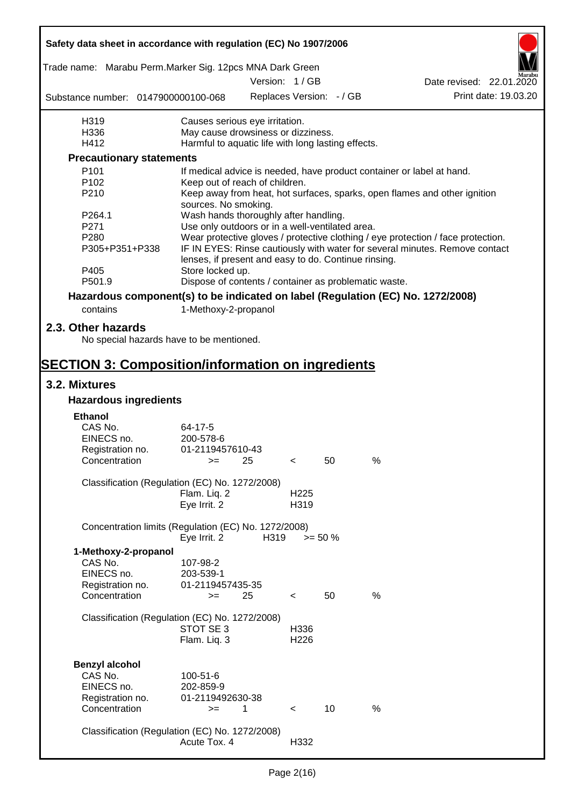| Safety data sheet in accordance with regulation (EC) No 1907/2006               |                                                       |                          |                          |            |   |                                                                                  |
|---------------------------------------------------------------------------------|-------------------------------------------------------|--------------------------|--------------------------|------------|---|----------------------------------------------------------------------------------|
| Trade name: Marabu Perm.Marker Sig. 12pcs MNA Dark Green                        |                                                       |                          |                          |            |   |                                                                                  |
|                                                                                 |                                                       | Version: 1/GB            |                          |            |   | Date revised: 22.01.2020                                                         |
| Substance number: 0147900000100-068                                             |                                                       | Replaces Version: - / GB |                          |            |   | Print date: 19.03.20                                                             |
| H319                                                                            | Causes serious eye irritation.                        |                          |                          |            |   |                                                                                  |
| H336                                                                            | May cause drowsiness or dizziness.                    |                          |                          |            |   |                                                                                  |
| H412                                                                            | Harmful to aquatic life with long lasting effects.    |                          |                          |            |   |                                                                                  |
| <b>Precautionary statements</b>                                                 |                                                       |                          |                          |            |   |                                                                                  |
| P101                                                                            |                                                       |                          |                          |            |   | If medical advice is needed, have product container or label at hand.            |
| P <sub>102</sub><br>P210                                                        | Keep out of reach of children.                        |                          |                          |            |   | Keep away from heat, hot surfaces, sparks, open flames and other ignition        |
|                                                                                 | sources. No smoking.                                  |                          |                          |            |   |                                                                                  |
| P264.1                                                                          | Wash hands thoroughly after handling.                 |                          |                          |            |   |                                                                                  |
| P271                                                                            | Use only outdoors or in a well-ventilated area.       |                          |                          |            |   |                                                                                  |
| P280                                                                            |                                                       |                          |                          |            |   | Wear protective gloves / protective clothing / eye protection / face protection. |
| P305+P351+P338                                                                  | lenses, if present and easy to do. Continue rinsing.  |                          |                          |            |   | IF IN EYES: Rinse cautiously with water for several minutes. Remove contact      |
| P405                                                                            | Store locked up.                                      |                          |                          |            |   |                                                                                  |
| P501.9                                                                          | Dispose of contents / container as problematic waste. |                          |                          |            |   |                                                                                  |
| Hazardous component(s) to be indicated on label (Regulation (EC) No. 1272/2008) |                                                       |                          |                          |            |   |                                                                                  |
| contains                                                                        | 1-Methoxy-2-propanol                                  |                          |                          |            |   |                                                                                  |
| 2.3. Other hazards                                                              |                                                       |                          |                          |            |   |                                                                                  |
| No special hazards have to be mentioned.                                        |                                                       |                          |                          |            |   |                                                                                  |
|                                                                                 |                                                       |                          |                          |            |   |                                                                                  |
| <b>SECTION 3: Composition/information on ingredients</b>                        |                                                       |                          |                          |            |   |                                                                                  |
| 3.2. Mixtures                                                                   |                                                       |                          |                          |            |   |                                                                                  |
| <b>Hazardous ingredients</b>                                                    |                                                       |                          |                          |            |   |                                                                                  |
| <b>Ethanol</b>                                                                  |                                                       |                          |                          |            |   |                                                                                  |
| CAS No.                                                                         | 64-17-5                                               |                          |                          |            |   |                                                                                  |
| EINECS no.                                                                      | 200-578-6                                             |                          |                          |            |   |                                                                                  |
| Registration no.                                                                | 01-2119457610-43                                      |                          |                          |            |   |                                                                                  |
| Concentration                                                                   | $>=$                                                  | 25                       | $\prec$                  | 50         | % |                                                                                  |
| Classification (Regulation (EC) No. 1272/2008)                                  |                                                       |                          |                          |            |   |                                                                                  |
|                                                                                 | Flam. Liq. 2                                          |                          | H <sub>225</sub>         |            |   |                                                                                  |
|                                                                                 | Eye Irrit. 2                                          |                          | H319                     |            |   |                                                                                  |
| Concentration limits (Regulation (EC) No. 1272/2008)                            | Eye Irrit. 2                                          | H319                     |                          | $>= 50 \%$ |   |                                                                                  |
| 1-Methoxy-2-propanol                                                            |                                                       |                          |                          |            |   |                                                                                  |
| CAS No.                                                                         | 107-98-2                                              |                          |                          |            |   |                                                                                  |
| EINECS no.                                                                      | 203-539-1                                             |                          |                          |            |   |                                                                                  |
| Registration no.                                                                | 01-2119457435-35                                      |                          |                          |            |   |                                                                                  |
| Concentration                                                                   | $>=$                                                  | 25                       | $\,<\,$                  | 50         | % |                                                                                  |
| Classification (Regulation (EC) No. 1272/2008)                                  |                                                       |                          |                          |            |   |                                                                                  |
|                                                                                 | STOT SE 3                                             |                          | H336                     |            |   |                                                                                  |
|                                                                                 | Flam. Liq. 3                                          |                          | H <sub>226</sub>         |            |   |                                                                                  |
|                                                                                 |                                                       |                          |                          |            |   |                                                                                  |
| <b>Benzyl alcohol</b>                                                           |                                                       |                          |                          |            |   |                                                                                  |
| CAS No.<br>EINECS no.                                                           | 100-51-6                                              |                          |                          |            |   |                                                                                  |
|                                                                                 | 202-859-9<br>01-2119492630-38                         |                          |                          |            |   |                                                                                  |
| Registration no.<br>Concentration                                               | $>=$                                                  | 1                        | $\overline{\phantom{a}}$ | 10         | % |                                                                                  |
|                                                                                 |                                                       |                          |                          |            |   |                                                                                  |
| Classification (Regulation (EC) No. 1272/2008)                                  |                                                       |                          |                          |            |   |                                                                                  |
|                                                                                 | Acute Tox. 4                                          |                          | H332                     |            |   |                                                                                  |
|                                                                                 |                                                       |                          |                          |            |   |                                                                                  |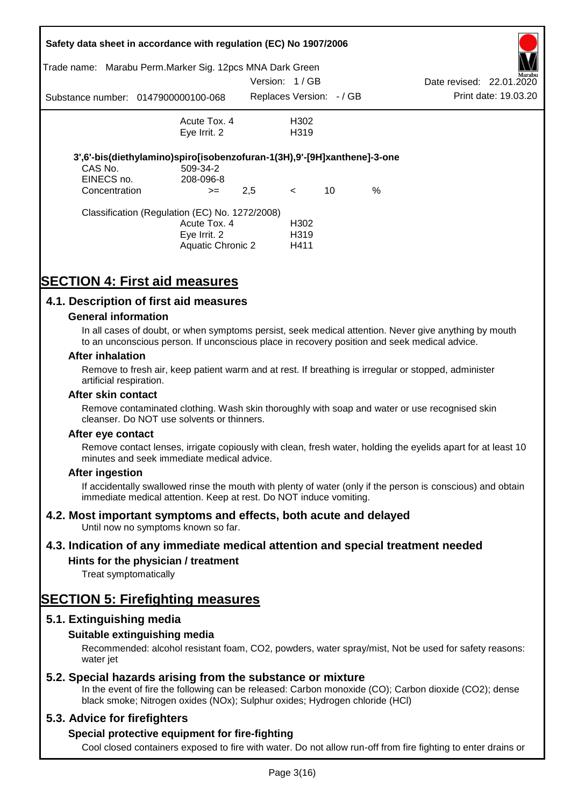| Trade name:           | Safety data sheet in accordance with regulation (EC) No 1907/2006<br>Marabu Perm. Marker Sig. 12pcs MNA Dark Green |               |                                  |    |      |                          |                      |
|-----------------------|--------------------------------------------------------------------------------------------------------------------|---------------|----------------------------------|----|------|--------------------------|----------------------|
|                       |                                                                                                                    | Version: 1/GB |                                  |    |      | Date revised: 22.01.2020 | Marabu               |
|                       | Substance number: 0147900000100-068                                                                                |               | Replaces Version: - / GB         |    |      |                          | Print date: 19.03.20 |
|                       | Acute Tox, 4                                                                                                       |               | H302                             |    |      |                          |                      |
|                       | Eye Irrit. 2                                                                                                       |               | H <sub>3</sub> 19                |    |      |                          |                      |
| CAS No.<br>EINECS no. | 3',6'-bis(diethylamino)spiro[isobenzofuran-1(3H),9'-[9H]xanthene]-3-one<br>509-34-2<br>208-096-8                   |               |                                  |    |      |                          |                      |
| Concentration         | $>=$                                                                                                               | 2,5           | $\lt$                            | 10 | $\%$ |                          |                      |
|                       | Classification (Regulation (EC) No. 1272/2008)<br>Acute Tox. 4<br>Eye Irrit. 2<br><b>Aquatic Chronic 2</b>         |               | H <sub>302</sub><br>H319<br>H411 |    |      |                          |                      |

# **SECTION 4: First aid measures**

# **4.1. Description of first aid measures**

### **General information**

In all cases of doubt, or when symptoms persist, seek medical attention. Never give anything by mouth to an unconscious person. If unconscious place in recovery position and seek medical advice.

#### **After inhalation**

Remove to fresh air, keep patient warm and at rest. If breathing is irregular or stopped, administer artificial respiration.

#### **After skin contact**

Remove contaminated clothing. Wash skin thoroughly with soap and water or use recognised skin cleanser. Do NOT use solvents or thinners.

#### **After eye contact**

Remove contact lenses, irrigate copiously with clean, fresh water, holding the eyelids apart for at least 10 minutes and seek immediate medical advice.

#### **After ingestion**

If accidentally swallowed rinse the mouth with plenty of water (only if the person is conscious) and obtain immediate medical attention. Keep at rest. Do NOT induce vomiting.

# **4.2. Most important symptoms and effects, both acute and delayed**

Until now no symptoms known so far.

# **4.3. Indication of any immediate medical attention and special treatment needed**

# **Hints for the physician / treatment**

Treat symptomatically

# **SECTION 5: Firefighting measures**

# **5.1. Extinguishing media**

# **Suitable extinguishing media**

Recommended: alcohol resistant foam, CO2, powders, water spray/mist, Not be used for safety reasons: water *iet* 

# **5.2. Special hazards arising from the substance or mixture**

In the event of fire the following can be released: Carbon monoxide (CO); Carbon dioxide (CO2); dense black smoke; Nitrogen oxides (NOx); Sulphur oxides; Hydrogen chloride (HCl)

# **5.3. Advice for firefighters**

# **Special protective equipment for fire-fighting**

Cool closed containers exposed to fire with water. Do not allow run-off from fire fighting to enter drains or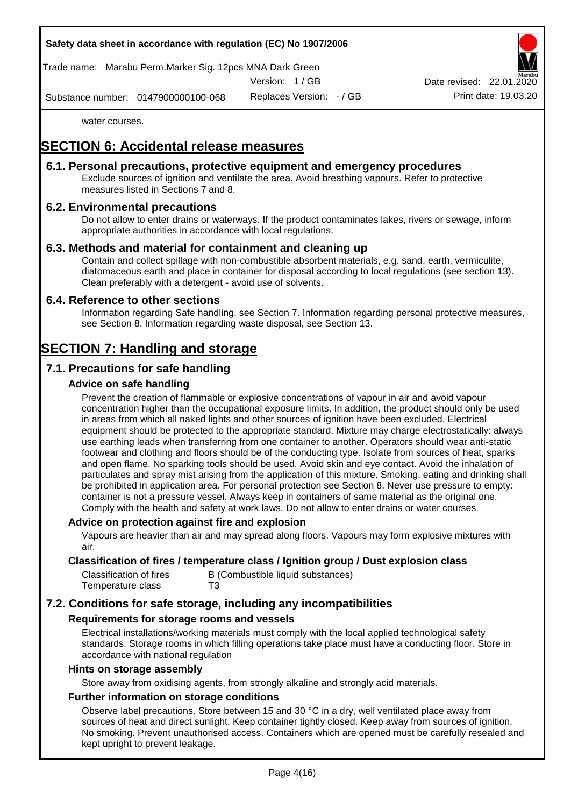# **Safety data sheet in accordance with regulation (EC) No 1907/2006**

Trade name: Marabu Perm.Marker Sig. 12pcs MNA Dark Green

Version: 1 / GB

Replaces Version: - / GB Print date: 19.03.20 Date revised: 22.01.

Substance number: 0147900000100-068

water courses.

# **SECTION 6: Accidental release measures**

# **6.1. Personal precautions, protective equipment and emergency procedures**

Exclude sources of ignition and ventilate the area. Avoid breathing vapours. Refer to protective measures listed in Sections 7 and 8.

# **6.2. Environmental precautions**

Do not allow to enter drains or waterways. If the product contaminates lakes, rivers or sewage, inform appropriate authorities in accordance with local regulations.

### **6.3. Methods and material for containment and cleaning up**

Contain and collect spillage with non-combustible absorbent materials, e.g. sand, earth, vermiculite, diatomaceous earth and place in container for disposal according to local regulations (see section 13). Clean preferably with a detergent - avoid use of solvents.

### **6.4. Reference to other sections**

Information regarding Safe handling, see Section 7. Information regarding personal protective measures, see Section 8. Information regarding waste disposal, see Section 13.

# **SECTION 7: Handling and storage**

# **7.1. Precautions for safe handling**

### **Advice on safe handling**

Prevent the creation of flammable or explosive concentrations of vapour in air and avoid vapour concentration higher than the occupational exposure limits. In addition, the product should only be used in areas from which all naked lights and other sources of ignition have been excluded. Electrical equipment should be protected to the appropriate standard. Mixture may charge electrostatically: always use earthing leads when transferring from one container to another. Operators should wear anti-static footwear and clothing and floors should be of the conducting type. Isolate from sources of heat, sparks and open flame. No sparking tools should be used. Avoid skin and eye contact. Avoid the inhalation of particulates and spray mist arising from the application of this mixture. Smoking, eating and drinking shall be prohibited in application area. For personal protection see Section 8. Never use pressure to empty: container is not a pressure vessel. Always keep in containers of same material as the original one. Comply with the health and safety at work laws. Do not allow to enter drains or water courses.

#### **Advice on protection against fire and explosion**

Vapours are heavier than air and may spread along floors. Vapours may form explosive mixtures with air.

### **Classification of fires / temperature class / Ignition group / Dust explosion class**

| Classification of fires | B (Combustible liquid substances) |
|-------------------------|-----------------------------------|
| Temperature class       | T3                                |

# **7.2. Conditions for safe storage, including any incompatibilities**

#### **Requirements for storage rooms and vessels**

Electrical installations/working materials must comply with the local applied technological safety standards. Storage rooms in which filling operations take place must have a conducting floor. Store in accordance with national regulation

#### **Hints on storage assembly**

Store away from oxidising agents, from strongly alkaline and strongly acid materials.

### **Further information on storage conditions**

Observe label precautions. Store between 15 and 30 °C in a dry, well ventilated place away from sources of heat and direct sunlight. Keep container tightly closed. Keep away from sources of ignition. No smoking. Prevent unauthorised access. Containers which are opened must be carefully resealed and kept upright to prevent leakage.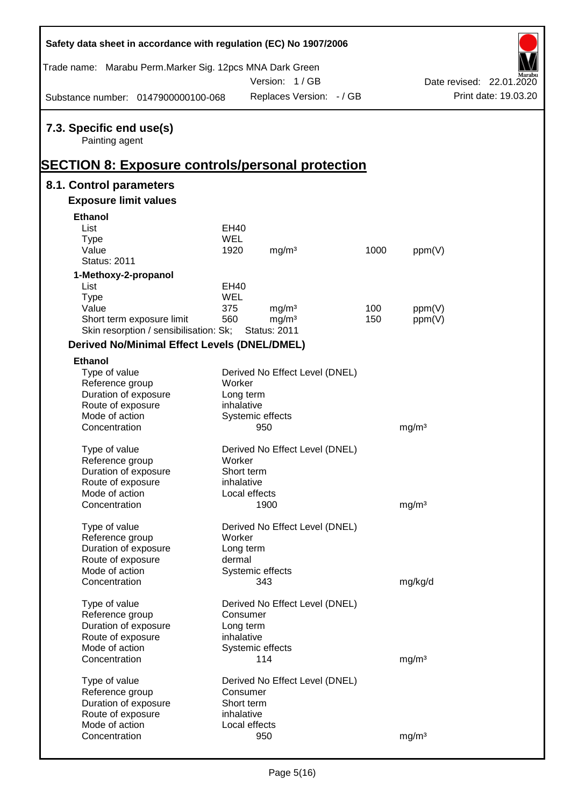| Safety data sheet in accordance with regulation (EC) No 1907/2006   |             |                                          |                                |      |                   |                          |
|---------------------------------------------------------------------|-------------|------------------------------------------|--------------------------------|------|-------------------|--------------------------|
| Trade name: Marabu Perm.Marker Sig. 12pcs MNA Dark Green            |             |                                          |                                |      |                   |                          |
|                                                                     |             | Version: 1/GB                            |                                |      |                   | Date revised: 22.01.2020 |
| Substance number: 0147900000100-068                                 |             |                                          | Replaces Version: - / GB       |      |                   | Print date: 19.03.20     |
| 7.3. Specific end use(s)<br>Painting agent                          |             |                                          |                                |      |                   |                          |
| <b>SECTION 8: Exposure controls/personal protection</b>             |             |                                          |                                |      |                   |                          |
| 8.1. Control parameters<br><b>Exposure limit values</b>             |             |                                          |                                |      |                   |                          |
|                                                                     |             |                                          |                                |      |                   |                          |
| <b>Ethanol</b>                                                      |             |                                          |                                |      |                   |                          |
| List                                                                | <b>EH40</b> |                                          |                                |      |                   |                          |
| <b>Type</b>                                                         | <b>WEL</b>  |                                          |                                |      |                   |                          |
| Value<br><b>Status: 2011</b>                                        | 1920        | mg/m <sup>3</sup>                        |                                | 1000 | ppm(V)            |                          |
|                                                                     |             |                                          |                                |      |                   |                          |
| 1-Methoxy-2-propanol                                                |             |                                          |                                |      |                   |                          |
| List                                                                | <b>EH40</b> |                                          |                                |      |                   |                          |
| <b>Type</b>                                                         | <b>WEL</b>  |                                          |                                |      |                   |                          |
| Value                                                               | 375         | mg/m <sup>3</sup>                        |                                | 100  | ppm(V)            |                          |
| Short term exposure limit<br>Skin resorption / sensibilisation: Sk; | 560         | mg/m <sup>3</sup><br><b>Status: 2011</b> |                                | 150  | ppm(V)            |                          |
|                                                                     |             |                                          |                                |      |                   |                          |
| <b>Derived No/Minimal Effect Levels (DNEL/DMEL)</b>                 |             |                                          |                                |      |                   |                          |
| <b>Ethanol</b>                                                      |             |                                          |                                |      |                   |                          |
| Type of value                                                       |             |                                          | Derived No Effect Level (DNEL) |      |                   |                          |
| Reference group                                                     | Worker      |                                          |                                |      |                   |                          |
| Duration of exposure                                                | Long term   |                                          |                                |      |                   |                          |
| Route of exposure                                                   | inhalative  |                                          |                                |      |                   |                          |
| Mode of action                                                      |             | Systemic effects                         |                                |      |                   |                          |
| Concentration                                                       |             | 950                                      |                                |      | mg/m <sup>3</sup> |                          |
|                                                                     |             |                                          |                                |      |                   |                          |
| Type of value                                                       | Worker      |                                          | Derived No Effect Level (DNEL) |      |                   |                          |
| Reference group<br>Duration of exposure                             | Short term  |                                          |                                |      |                   |                          |
| Route of exposure                                                   | inhalative  |                                          |                                |      |                   |                          |
| Mode of action                                                      |             | Local effects                            |                                |      |                   |                          |
| Concentration                                                       |             | 1900                                     |                                |      | mg/m <sup>3</sup> |                          |
|                                                                     |             |                                          |                                |      |                   |                          |
| Type of value                                                       |             |                                          | Derived No Effect Level (DNEL) |      |                   |                          |
| Reference group                                                     | Worker      |                                          |                                |      |                   |                          |
| Duration of exposure                                                | Long term   |                                          |                                |      |                   |                          |
| Route of exposure                                                   | dermal      |                                          |                                |      |                   |                          |
| Mode of action                                                      |             | Systemic effects                         |                                |      |                   |                          |
| Concentration                                                       |             | 343                                      |                                |      | mg/kg/d           |                          |
|                                                                     |             |                                          |                                |      |                   |                          |
| Type of value                                                       |             |                                          | Derived No Effect Level (DNEL) |      |                   |                          |
| Reference group                                                     | Consumer    |                                          |                                |      |                   |                          |
| Duration of exposure                                                | Long term   |                                          |                                |      |                   |                          |
| Route of exposure                                                   | inhalative  |                                          |                                |      |                   |                          |
| Mode of action                                                      |             | Systemic effects                         |                                |      |                   |                          |
| Concentration                                                       |             | 114                                      |                                |      | mg/m <sup>3</sup> |                          |
|                                                                     |             |                                          |                                |      |                   |                          |
| Type of value<br>Reference group                                    | Consumer    |                                          | Derived No Effect Level (DNEL) |      |                   |                          |
| Duration of exposure                                                | Short term  |                                          |                                |      |                   |                          |
| Route of exposure                                                   | inhalative  |                                          |                                |      |                   |                          |
| Mode of action                                                      |             | Local effects                            |                                |      |                   |                          |
| Concentration                                                       |             | 950                                      |                                |      | mg/m <sup>3</sup> |                          |
|                                                                     |             |                                          |                                |      |                   |                          |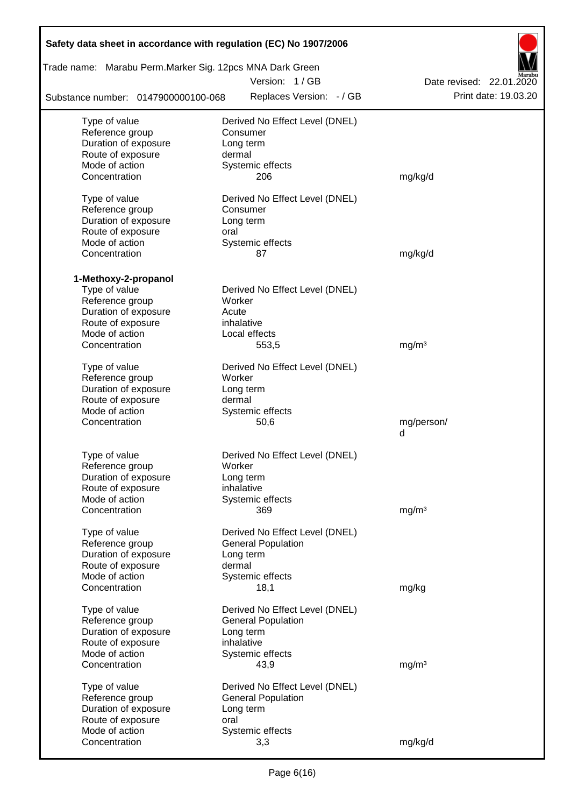| Safety data sheet in accordance with regulation (EC) No 1907/2006 |                                |                          |
|-------------------------------------------------------------------|--------------------------------|--------------------------|
| Trade name: Marabu Perm.Marker Sig. 12pcs MNA Dark Green          |                                |                          |
|                                                                   | Version: 1/GB                  | Date revised: 22.01.2020 |
| Substance number: 0147900000100-068                               | Replaces Version: - / GB       | Print date: 19.03.20     |
| Type of value                                                     | Derived No Effect Level (DNEL) |                          |
| Reference group                                                   | Consumer                       |                          |
| Duration of exposure                                              | Long term                      |                          |
| Route of exposure                                                 | dermal                         |                          |
| Mode of action                                                    | Systemic effects               |                          |
| Concentration                                                     | 206                            | mg/kg/d                  |
| Type of value                                                     | Derived No Effect Level (DNEL) |                          |
| Reference group                                                   | Consumer                       |                          |
| Duration of exposure                                              | Long term                      |                          |
| Route of exposure                                                 | oral                           |                          |
| Mode of action                                                    | Systemic effects               |                          |
| Concentration                                                     | 87                             | mg/kg/d                  |
| 1-Methoxy-2-propanol                                              |                                |                          |
| Type of value                                                     | Derived No Effect Level (DNEL) |                          |
| Reference group                                                   | Worker                         |                          |
| Duration of exposure                                              | Acute                          |                          |
| Route of exposure                                                 | inhalative                     |                          |
| Mode of action                                                    | Local effects                  |                          |
| Concentration                                                     | 553,5                          | mg/m <sup>3</sup>        |
| Type of value                                                     | Derived No Effect Level (DNEL) |                          |
| Reference group                                                   | Worker                         |                          |
| Duration of exposure                                              | Long term                      |                          |
| Route of exposure                                                 | dermal                         |                          |
| Mode of action                                                    | Systemic effects               |                          |
| Concentration                                                     | 50,6                           | mg/person/               |
|                                                                   |                                | d                        |
| Type of value                                                     | Derived No Effect Level (DNEL) |                          |
| Reference group                                                   | Worker                         |                          |
| Duration of exposure                                              | Long term                      |                          |
| Route of exposure                                                 | inhalative                     |                          |
| Mode of action                                                    | Systemic effects               |                          |
| Concentration                                                     | 369                            | mg/m <sup>3</sup>        |
| Type of value                                                     | Derived No Effect Level (DNEL) |                          |
| Reference group                                                   | <b>General Population</b>      |                          |
| Duration of exposure                                              | Long term                      |                          |
| Route of exposure                                                 | dermal                         |                          |
| Mode of action                                                    | Systemic effects               |                          |
| Concentration                                                     | 18,1                           | mg/kg                    |
| Type of value                                                     | Derived No Effect Level (DNEL) |                          |
| Reference group                                                   | <b>General Population</b>      |                          |
| Duration of exposure                                              | Long term                      |                          |
| Route of exposure                                                 | inhalative                     |                          |
| Mode of action                                                    | Systemic effects               |                          |
| Concentration                                                     | 43,9                           | mg/m <sup>3</sup>        |
| Type of value                                                     | Derived No Effect Level (DNEL) |                          |
| Reference group                                                   | <b>General Population</b>      |                          |
| Duration of exposure                                              | Long term                      |                          |
| Route of exposure                                                 | oral                           |                          |
| Mode of action                                                    | Systemic effects               |                          |
| Concentration                                                     | 3,3                            | mg/kg/d                  |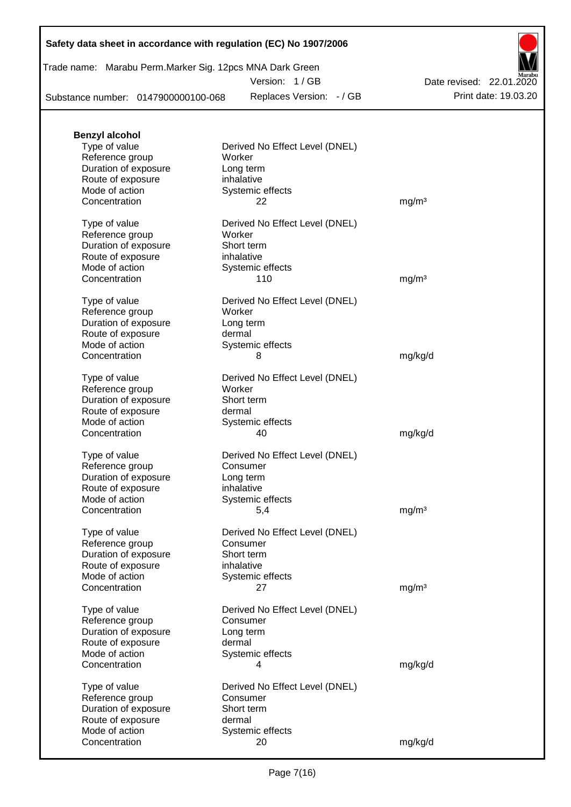|  | Safety data sheet in accordance with regulation (EC) No 1907/2006 |  |  |
|--|-------------------------------------------------------------------|--|--|
|--|-------------------------------------------------------------------|--|--|

| Trade name: Marabu Perm.Marker Sig. 12pcs MNA Dark Green |  |  |   |
|----------------------------------------------------------|--|--|---|
|                                                          |  |  | . |

Version: 1 / GB

Substance number: 0147900000100-068

Replaces Version: - / GB Print date: 19.03.20 Date revised: 22.01.2020

| <b>Benzyl alcohol</b><br>Type of value    | Derived No Effect Level (DNEL) |                   |
|-------------------------------------------|--------------------------------|-------------------|
| Reference group                           | Worker                         |                   |
| Duration of exposure<br>Route of exposure | Long term<br>inhalative        |                   |
| Mode of action                            | Systemic effects               |                   |
| Concentration                             | 22                             | mg/m <sup>3</sup> |
| Type of value                             | Derived No Effect Level (DNEL) |                   |
| Reference group                           | Worker<br>Short term           |                   |
| Duration of exposure<br>Route of exposure | inhalative                     |                   |
| Mode of action                            | Systemic effects               |                   |
| Concentration                             | 110                            | mg/m <sup>3</sup> |
| Type of value                             | Derived No Effect Level (DNEL) |                   |
| Reference group                           | Worker                         |                   |
| Duration of exposure                      | Long term                      |                   |
| Route of exposure                         | dermal                         |                   |
| Mode of action<br>Concentration           | Systemic effects<br>8          |                   |
|                                           |                                | mg/kg/d           |
| Type of value                             | Derived No Effect Level (DNEL) |                   |
| Reference group                           | Worker<br>Short term           |                   |
| Duration of exposure<br>Route of exposure | dermal                         |                   |
| Mode of action                            | Systemic effects               |                   |
| Concentration                             | 40                             | mg/kg/d           |
| Type of value                             | Derived No Effect Level (DNEL) |                   |
| Reference group                           | Consumer                       |                   |
| Duration of exposure                      | Long term                      |                   |
| Route of exposure                         | inhalative                     |                   |
| Mode of action<br>Concentration           | Systemic effects               |                   |
|                                           | 5,4                            | mg/m <sup>3</sup> |
| Type of value                             | Derived No Effect Level (DNEL) |                   |
| Reference group                           | Consumer                       |                   |
| Duration of exposure<br>Route of exposure | Short term<br>inhalative       |                   |
| Mode of action                            | Systemic effects               |                   |
| Concentration                             | 27                             | mg/m <sup>3</sup> |
| Type of value                             | Derived No Effect Level (DNEL) |                   |
| Reference group                           | Consumer                       |                   |
| Duration of exposure                      | Long term                      |                   |
| Route of exposure                         | dermal                         |                   |
| Mode of action                            | Systemic effects               |                   |
| Concentration                             | 4                              | mg/kg/d           |
| Type of value                             | Derived No Effect Level (DNEL) |                   |
| Reference group                           | Consumer                       |                   |
| Duration of exposure<br>Route of exposure | Short term<br>dermal           |                   |
| Mode of action                            | Systemic effects               |                   |
| Concentration                             | 20                             | mg/kg/d           |
|                                           |                                |                   |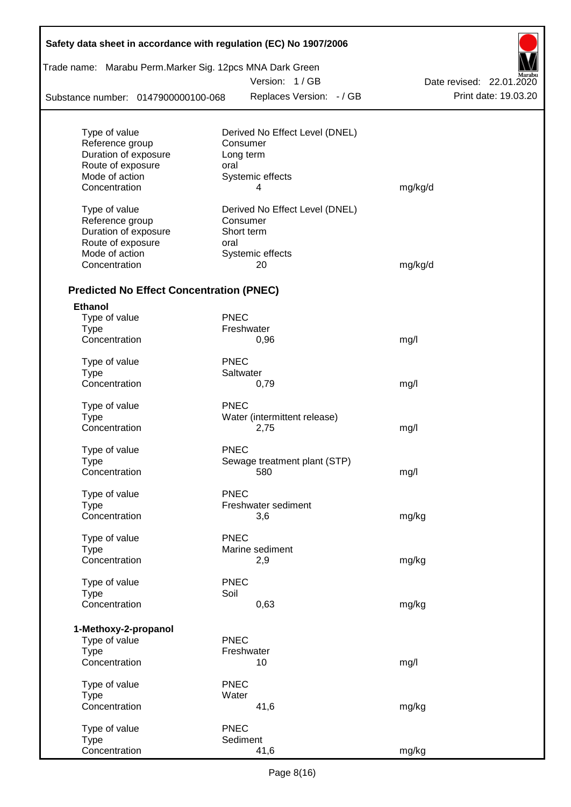| Safety data sheet in accordance with regulation (EC) No 1907/2006 |             |                                     |                          |
|-------------------------------------------------------------------|-------------|-------------------------------------|--------------------------|
| Trade name: Marabu Perm.Marker Sig. 12pcs MNA Dark Green          |             | Version: 1/GB                       |                          |
|                                                                   |             |                                     | Date revised: 22.01.2020 |
| Substance number: 0147900000100-068                               |             | Replaces Version: - / GB            | Print date: 19.03.20     |
|                                                                   |             |                                     |                          |
| Type of value                                                     |             | Derived No Effect Level (DNEL)      |                          |
| Reference group                                                   |             | Consumer                            |                          |
| Duration of exposure                                              |             | Long term                           |                          |
| Route of exposure                                                 | oral        |                                     |                          |
| Mode of action                                                    |             | Systemic effects                    |                          |
| Concentration                                                     |             | 4                                   | mg/kg/d                  |
| Type of value                                                     |             | Derived No Effect Level (DNEL)      |                          |
| Reference group                                                   |             | Consumer                            |                          |
| Duration of exposure                                              |             | Short term                          |                          |
| Route of exposure                                                 | oral        |                                     |                          |
| Mode of action                                                    |             | Systemic effects                    |                          |
| Concentration                                                     |             | 20                                  | mg/kg/d                  |
|                                                                   |             |                                     |                          |
| <b>Predicted No Effect Concentration (PNEC)</b>                   |             |                                     |                          |
| <b>Ethanol</b>                                                    |             |                                     |                          |
| Type of value                                                     | <b>PNEC</b> |                                     |                          |
| <b>Type</b>                                                       |             | Freshwater                          |                          |
| Concentration                                                     |             | 0,96                                | mg/l                     |
| Type of value                                                     | <b>PNEC</b> |                                     |                          |
| <b>Type</b>                                                       |             | Saltwater                           |                          |
| Concentration                                                     |             | 0,79                                | mg/l                     |
| Type of value                                                     | <b>PNEC</b> |                                     |                          |
| <b>Type</b>                                                       |             | Water (intermittent release)        |                          |
| Concentration                                                     |             | 2,75                                | mg/l                     |
|                                                                   |             |                                     |                          |
| Type of value                                                     | <b>PNEC</b> |                                     |                          |
| Type<br>Concentration                                             |             | Sewage treatment plant (STP)<br>580 | mg/l                     |
|                                                                   |             |                                     |                          |
| Type of value                                                     | <b>PNEC</b> |                                     |                          |
| <b>Type</b>                                                       |             | Freshwater sediment                 |                          |
| Concentration                                                     |             | 3,6                                 | mg/kg                    |
|                                                                   |             |                                     |                          |
| Type of value                                                     | <b>PNEC</b> |                                     |                          |
| <b>Type</b>                                                       |             | Marine sediment                     |                          |
| Concentration                                                     |             | 2,9                                 | mg/kg                    |
| Type of value                                                     | <b>PNEC</b> |                                     |                          |
| <b>Type</b>                                                       | Soil        |                                     |                          |
| Concentration                                                     |             | 0,63                                | mg/kg                    |
|                                                                   |             |                                     |                          |
| 1-Methoxy-2-propanol                                              |             |                                     |                          |
| Type of value                                                     | <b>PNEC</b> |                                     |                          |
| <b>Type</b>                                                       |             | Freshwater                          |                          |
| Concentration                                                     |             | 10                                  | mg/l                     |
| Type of value                                                     | <b>PNEC</b> |                                     |                          |
| <b>Type</b>                                                       | Water       |                                     |                          |
| Concentration                                                     |             | 41,6                                | mg/kg                    |
|                                                                   |             |                                     |                          |
| Type of value                                                     | <b>PNEC</b> |                                     |                          |
| <b>Type</b>                                                       |             | Sediment                            |                          |
| Concentration                                                     |             | 41,6                                | mg/kg                    |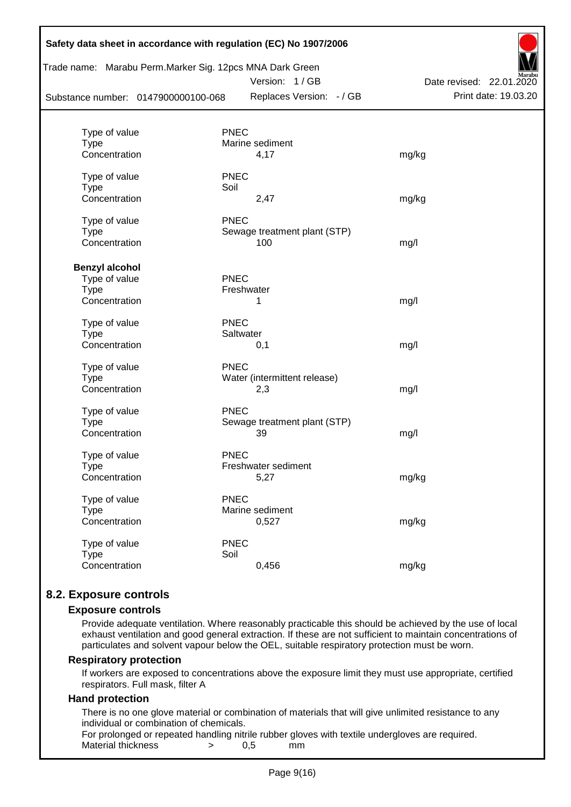| Safety data sheet in accordance with regulation (EC) No 1907/2006<br>Trade name: Marabu Perm. Marker Sig. 12pcs MNA Dark Green<br>Substance number: 0147900000100-068 |             | Version: 1/GB<br>Replaces Version: - / GB | Date revised: 22.01.2020<br>Print date: 19.03.20 |
|-----------------------------------------------------------------------------------------------------------------------------------------------------------------------|-------------|-------------------------------------------|--------------------------------------------------|
| Type of value                                                                                                                                                         | <b>PNEC</b> |                                           |                                                  |
| <b>Type</b>                                                                                                                                                           |             | Marine sediment                           |                                                  |
| Concentration                                                                                                                                                         |             | 4,17                                      | mg/kg                                            |
| Type of value                                                                                                                                                         | <b>PNEC</b> |                                           |                                                  |
| <b>Type</b>                                                                                                                                                           | Soil        |                                           |                                                  |
| Concentration                                                                                                                                                         |             | 2,47                                      | mg/kg                                            |
| Type of value                                                                                                                                                         | <b>PNEC</b> |                                           |                                                  |
| <b>Type</b>                                                                                                                                                           |             | Sewage treatment plant (STP)              |                                                  |
| Concentration                                                                                                                                                         |             | 100                                       | mg/l                                             |
| <b>Benzyl alcohol</b>                                                                                                                                                 |             |                                           |                                                  |
| Type of value                                                                                                                                                         | <b>PNEC</b> |                                           |                                                  |
| <b>Type</b>                                                                                                                                                           |             | Freshwater                                |                                                  |
| Concentration                                                                                                                                                         |             | 1                                         | mg/l                                             |
| Type of value                                                                                                                                                         | <b>PNEC</b> |                                           |                                                  |
| <b>Type</b>                                                                                                                                                           | Saltwater   |                                           |                                                  |
| Concentration                                                                                                                                                         |             | 0,1                                       | mg/l                                             |
| Type of value                                                                                                                                                         | <b>PNEC</b> |                                           |                                                  |
| <b>Type</b>                                                                                                                                                           |             | Water (intermittent release)              |                                                  |
| Concentration                                                                                                                                                         |             | 2,3                                       | mg/l                                             |
| Type of value                                                                                                                                                         | <b>PNEC</b> |                                           |                                                  |
| <b>Type</b>                                                                                                                                                           |             | Sewage treatment plant (STP)              |                                                  |
| Concentration                                                                                                                                                         |             | 39                                        | mg/l                                             |
| Type of value                                                                                                                                                         | <b>PNEC</b> |                                           |                                                  |
| <b>Type</b>                                                                                                                                                           |             | Freshwater sediment                       |                                                  |
| Concentration                                                                                                                                                         |             | 5,27                                      | mg/kg                                            |
| Type of value                                                                                                                                                         | <b>PNEC</b> |                                           |                                                  |
| <b>Type</b>                                                                                                                                                           |             | Marine sediment                           |                                                  |
| Concentration                                                                                                                                                         |             | 0,527                                     | mg/kg                                            |
| Type of value                                                                                                                                                         | <b>PNEC</b> |                                           |                                                  |
| <b>Type</b>                                                                                                                                                           | Soil        |                                           |                                                  |
| Concentration                                                                                                                                                         |             | 0,456                                     | mg/kg                                            |
|                                                                                                                                                                       |             |                                           |                                                  |

# **8.2. Exposure controls**

#### **Exposure controls**

Provide adequate ventilation. Where reasonably practicable this should be achieved by the use of local exhaust ventilation and good general extraction. If these are not sufficient to maintain concentrations of particulates and solvent vapour below the OEL, suitable respiratory protection must be worn.

#### **Respiratory protection**

If workers are exposed to concentrations above the exposure limit they must use appropriate, certified respirators. Full mask, filter A

#### **Hand protection**

There is no one glove material or combination of materials that will give unlimited resistance to any individual or combination of chemicals.

For prolonged or repeated handling nitrile rubber gloves with textile undergloves are required. Material thickness  $\rightarrow$  0.5 mm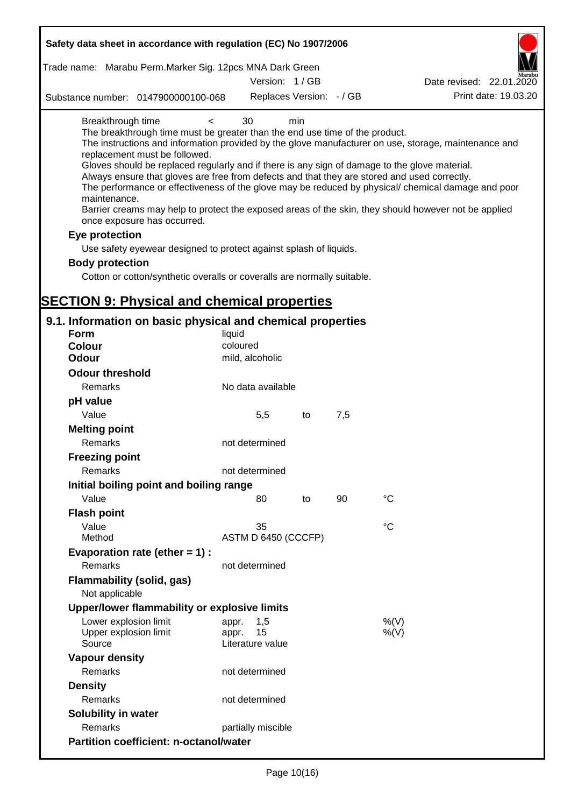| Safety data sheet in accordance with regulation (EC) No 1907/2006                                                                                                                                                                                                                                                                                                                            |                     |                          |     |                                                                                                                                                                                                                                                                                                                    |
|----------------------------------------------------------------------------------------------------------------------------------------------------------------------------------------------------------------------------------------------------------------------------------------------------------------------------------------------------------------------------------------------|---------------------|--------------------------|-----|--------------------------------------------------------------------------------------------------------------------------------------------------------------------------------------------------------------------------------------------------------------------------------------------------------------------|
| Trade name: Marabu Perm. Marker Sig. 12pcs MNA Dark Green                                                                                                                                                                                                                                                                                                                                    |                     |                          |     |                                                                                                                                                                                                                                                                                                                    |
|                                                                                                                                                                                                                                                                                                                                                                                              |                     | Version: 1/GB            |     | Date revised: 22.01.2020                                                                                                                                                                                                                                                                                           |
| Substance number: 0147900000100-068                                                                                                                                                                                                                                                                                                                                                          |                     | Replaces Version: - / GB |     | Print date: 19.03.20                                                                                                                                                                                                                                                                                               |
| Breakthrough time<br>$\,<\,$<br>The breakthrough time must be greater than the end use time of the product.<br>replacement must be followed.<br>Gloves should be replaced regularly and if there is any sign of damage to the glove material.<br>Always ensure that gloves are free from defects and that they are stored and used correctly.<br>maintenance.<br>once exposure has occurred. | 30                  | min                      |     | The instructions and information provided by the glove manufacturer on use, storage, maintenance and<br>The performance or effectiveness of the glove may be reduced by physical/ chemical damage and poor<br>Barrier creams may help to protect the exposed areas of the skin, they should however not be applied |
| Eye protection                                                                                                                                                                                                                                                                                                                                                                               |                     |                          |     |                                                                                                                                                                                                                                                                                                                    |
| Use safety eyewear designed to protect against splash of liquids.                                                                                                                                                                                                                                                                                                                            |                     |                          |     |                                                                                                                                                                                                                                                                                                                    |
| <b>Body protection</b>                                                                                                                                                                                                                                                                                                                                                                       |                     |                          |     |                                                                                                                                                                                                                                                                                                                    |
| Cotton or cotton/synthetic overalls or coveralls are normally suitable.                                                                                                                                                                                                                                                                                                                      |                     |                          |     |                                                                                                                                                                                                                                                                                                                    |
|                                                                                                                                                                                                                                                                                                                                                                                              |                     |                          |     |                                                                                                                                                                                                                                                                                                                    |
| <b>SECTION 9: Physical and chemical properties</b>                                                                                                                                                                                                                                                                                                                                           |                     |                          |     |                                                                                                                                                                                                                                                                                                                    |
| 9.1. Information on basic physical and chemical properties                                                                                                                                                                                                                                                                                                                                   |                     |                          |     |                                                                                                                                                                                                                                                                                                                    |
| <b>Form</b>                                                                                                                                                                                                                                                                                                                                                                                  | liquid              |                          |     |                                                                                                                                                                                                                                                                                                                    |
| <b>Colour</b>                                                                                                                                                                                                                                                                                                                                                                                | coloured            |                          |     |                                                                                                                                                                                                                                                                                                                    |
| <b>Odour</b>                                                                                                                                                                                                                                                                                                                                                                                 | mild, alcoholic     |                          |     |                                                                                                                                                                                                                                                                                                                    |
| <b>Odour threshold</b>                                                                                                                                                                                                                                                                                                                                                                       |                     |                          |     |                                                                                                                                                                                                                                                                                                                    |
| Remarks                                                                                                                                                                                                                                                                                                                                                                                      | No data available   |                          |     |                                                                                                                                                                                                                                                                                                                    |
| pH value                                                                                                                                                                                                                                                                                                                                                                                     |                     |                          |     |                                                                                                                                                                                                                                                                                                                    |
| Value                                                                                                                                                                                                                                                                                                                                                                                        | 5,5                 | to                       | 7,5 |                                                                                                                                                                                                                                                                                                                    |
| <b>Melting point</b>                                                                                                                                                                                                                                                                                                                                                                         |                     |                          |     |                                                                                                                                                                                                                                                                                                                    |
| Remarks                                                                                                                                                                                                                                                                                                                                                                                      | not determined      |                          |     |                                                                                                                                                                                                                                                                                                                    |
| <b>Freezing point</b>                                                                                                                                                                                                                                                                                                                                                                        |                     |                          |     |                                                                                                                                                                                                                                                                                                                    |
| Remarks                                                                                                                                                                                                                                                                                                                                                                                      | not determined      |                          |     |                                                                                                                                                                                                                                                                                                                    |
| Initial boiling point and boiling range                                                                                                                                                                                                                                                                                                                                                      |                     |                          |     |                                                                                                                                                                                                                                                                                                                    |
| Value                                                                                                                                                                                                                                                                                                                                                                                        | 80                  | to                       | 90  | $^{\circ}C$                                                                                                                                                                                                                                                                                                        |
| <b>Flash point</b>                                                                                                                                                                                                                                                                                                                                                                           |                     |                          |     |                                                                                                                                                                                                                                                                                                                    |
| Value                                                                                                                                                                                                                                                                                                                                                                                        | 35                  |                          |     | $^{\circ}C$                                                                                                                                                                                                                                                                                                        |
| Method                                                                                                                                                                                                                                                                                                                                                                                       | ASTM D 6450 (CCCFP) |                          |     |                                                                                                                                                                                                                                                                                                                    |
| Evaporation rate (ether $= 1$ ) :                                                                                                                                                                                                                                                                                                                                                            |                     |                          |     |                                                                                                                                                                                                                                                                                                                    |
| Remarks                                                                                                                                                                                                                                                                                                                                                                                      | not determined      |                          |     |                                                                                                                                                                                                                                                                                                                    |
| Flammability (solid, gas)<br>Not applicable                                                                                                                                                                                                                                                                                                                                                  |                     |                          |     |                                                                                                                                                                                                                                                                                                                    |
| Upper/lower flammability or explosive limits                                                                                                                                                                                                                                                                                                                                                 |                     |                          |     |                                                                                                                                                                                                                                                                                                                    |
| Lower explosion limit                                                                                                                                                                                                                                                                                                                                                                        | 1,5<br>appr.        |                          |     | %(V)                                                                                                                                                                                                                                                                                                               |
| Upper explosion limit                                                                                                                                                                                                                                                                                                                                                                        | 15<br>appr.         |                          |     | $%$ (V)                                                                                                                                                                                                                                                                                                            |
| Source                                                                                                                                                                                                                                                                                                                                                                                       | Literature value    |                          |     |                                                                                                                                                                                                                                                                                                                    |
| <b>Vapour density</b>                                                                                                                                                                                                                                                                                                                                                                        |                     |                          |     |                                                                                                                                                                                                                                                                                                                    |
| Remarks                                                                                                                                                                                                                                                                                                                                                                                      | not determined      |                          |     |                                                                                                                                                                                                                                                                                                                    |
|                                                                                                                                                                                                                                                                                                                                                                                              |                     |                          |     |                                                                                                                                                                                                                                                                                                                    |
| <b>Density</b>                                                                                                                                                                                                                                                                                                                                                                               |                     |                          |     |                                                                                                                                                                                                                                                                                                                    |
| Remarks                                                                                                                                                                                                                                                                                                                                                                                      | not determined      |                          |     |                                                                                                                                                                                                                                                                                                                    |
| Solubility in water<br>Remarks                                                                                                                                                                                                                                                                                                                                                               | partially miscible  |                          |     |                                                                                                                                                                                                                                                                                                                    |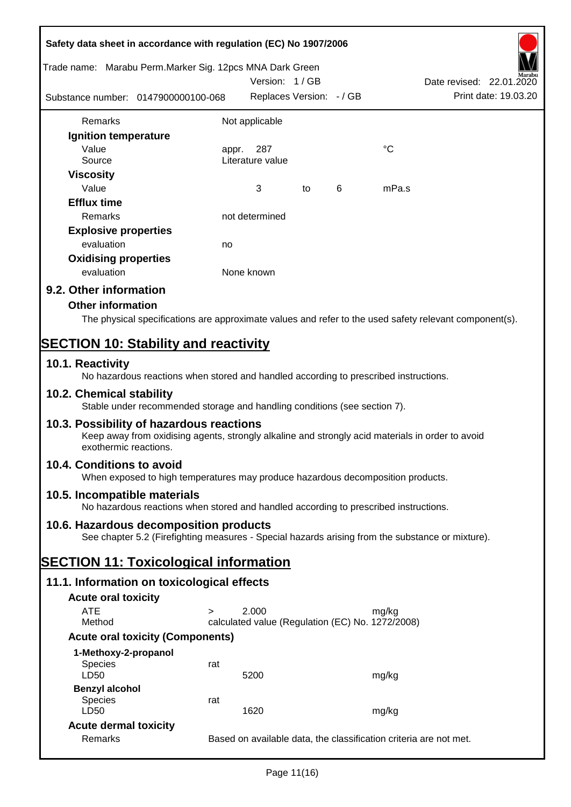| Safety data sheet in accordance with regulation (EC) No 1907/2006                                                                                                     |                                                                   |                                                  |    |   |             |                          |
|-----------------------------------------------------------------------------------------------------------------------------------------------------------------------|-------------------------------------------------------------------|--------------------------------------------------|----|---|-------------|--------------------------|
| Trade name: Marabu Perm.Marker Sig. 12pcs MNA Dark Green                                                                                                              |                                                                   | Version: 1/GB                                    |    |   |             | Date revised: 22.01.2020 |
| Substance number: 0147900000100-068                                                                                                                                   |                                                                   | Replaces Version: - / GB                         |    |   |             | Print date: 19.03.20     |
| Remarks                                                                                                                                                               |                                                                   | Not applicable                                   |    |   |             |                          |
| Ignition temperature                                                                                                                                                  |                                                                   |                                                  |    |   |             |                          |
| Value                                                                                                                                                                 | appr.                                                             | 287                                              |    |   | $^{\circ}C$ |                          |
| Source                                                                                                                                                                |                                                                   | Literature value                                 |    |   |             |                          |
| <b>Viscosity</b>                                                                                                                                                      |                                                                   |                                                  |    |   |             |                          |
| Value                                                                                                                                                                 |                                                                   | 3                                                | to | 6 | mPa.s       |                          |
| <b>Efflux time</b>                                                                                                                                                    |                                                                   |                                                  |    |   |             |                          |
| Remarks                                                                                                                                                               |                                                                   | not determined                                   |    |   |             |                          |
| <b>Explosive properties</b>                                                                                                                                           |                                                                   |                                                  |    |   |             |                          |
| evaluation                                                                                                                                                            | no                                                                |                                                  |    |   |             |                          |
| <b>Oxidising properties</b>                                                                                                                                           |                                                                   |                                                  |    |   |             |                          |
| evaluation                                                                                                                                                            |                                                                   | None known                                       |    |   |             |                          |
| 9.2. Other information                                                                                                                                                |                                                                   |                                                  |    |   |             |                          |
| <b>Other information</b>                                                                                                                                              |                                                                   |                                                  |    |   |             |                          |
| The physical specifications are approximate values and refer to the used safety relevant component(s).                                                                |                                                                   |                                                  |    |   |             |                          |
| <b>SECTION 10: Stability and reactivity</b>                                                                                                                           |                                                                   |                                                  |    |   |             |                          |
| 10.1. Reactivity<br>No hazardous reactions when stored and handled according to prescribed instructions.                                                              |                                                                   |                                                  |    |   |             |                          |
| 10.2. Chemical stability<br>Stable under recommended storage and handling conditions (see section 7).                                                                 |                                                                   |                                                  |    |   |             |                          |
| 10.3. Possibility of hazardous reactions<br>Keep away from oxidising agents, strongly alkaline and strongly acid materials in order to avoid<br>exothermic reactions. |                                                                   |                                                  |    |   |             |                          |
| 10.4. Conditions to avoid<br>When exposed to high temperatures may produce hazardous decomposition products.                                                          |                                                                   |                                                  |    |   |             |                          |
| 10.5. Incompatible materials<br>No hazardous reactions when stored and handled according to prescribed instructions.                                                  |                                                                   |                                                  |    |   |             |                          |
|                                                                                                                                                                       |                                                                   |                                                  |    |   |             |                          |
| 10.6. Hazardous decomposition products<br>See chapter 5.2 (Firefighting measures - Special hazards arising from the substance or mixture).                            |                                                                   |                                                  |    |   |             |                          |
| <b>SECTION 11: Toxicological information</b>                                                                                                                          |                                                                   |                                                  |    |   |             |                          |
| 11.1. Information on toxicological effects                                                                                                                            |                                                                   |                                                  |    |   |             |                          |
| <b>Acute oral toxicity</b>                                                                                                                                            |                                                                   |                                                  |    |   |             |                          |
| <b>ATE</b>                                                                                                                                                            |                                                                   | 2.000                                            |    |   | mg/kg       |                          |
| Method                                                                                                                                                                |                                                                   | calculated value (Regulation (EC) No. 1272/2008) |    |   |             |                          |
| <b>Acute oral toxicity (Components)</b>                                                                                                                               |                                                                   |                                                  |    |   |             |                          |
| 1-Methoxy-2-propanol                                                                                                                                                  |                                                                   |                                                  |    |   |             |                          |
| <b>Species</b>                                                                                                                                                        | rat                                                               |                                                  |    |   |             |                          |
| LD50                                                                                                                                                                  |                                                                   | 5200                                             |    |   | mg/kg       |                          |
| <b>Benzyl alcohol</b>                                                                                                                                                 |                                                                   |                                                  |    |   |             |                          |
| <b>Species</b><br>LD50                                                                                                                                                | rat                                                               | 1620                                             |    |   |             |                          |
|                                                                                                                                                                       |                                                                   |                                                  |    |   | mg/kg       |                          |
| <b>Acute dermal toxicity</b>                                                                                                                                          |                                                                   |                                                  |    |   |             |                          |
| Remarks                                                                                                                                                               | Based on available data, the classification criteria are not met. |                                                  |    |   |             |                          |

7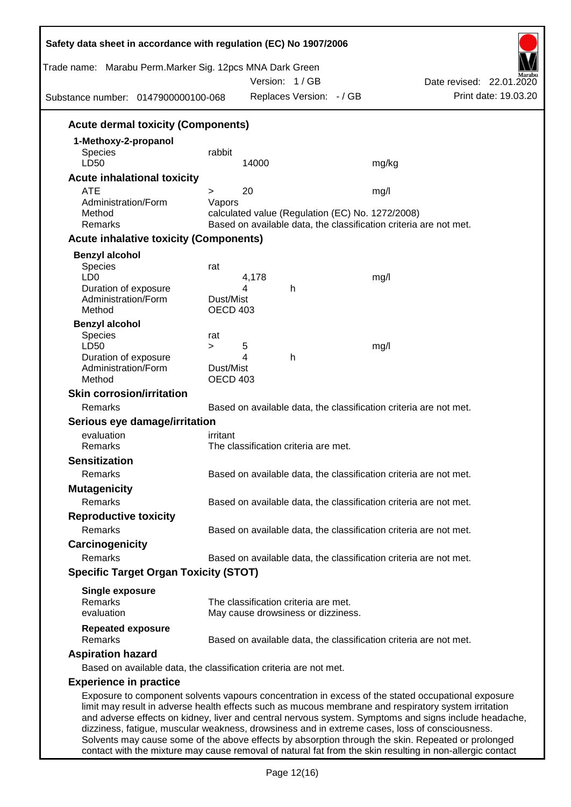| Trade name: Marabu Perm.Marker Sig. 12pcs MNA Dark Green<br>Substance number: 0147900000100-068 |                  |       | Version: 1/GB<br>Replaces Version: - / GB        | Date revised: 22.01.2020<br>Print date: 19.03.20                                                                                                                                                                                                                                                                                                                                                                      |
|-------------------------------------------------------------------------------------------------|------------------|-------|--------------------------------------------------|-----------------------------------------------------------------------------------------------------------------------------------------------------------------------------------------------------------------------------------------------------------------------------------------------------------------------------------------------------------------------------------------------------------------------|
| <b>Acute dermal toxicity (Components)</b>                                                       |                  |       |                                                  |                                                                                                                                                                                                                                                                                                                                                                                                                       |
| 1-Methoxy-2-propanol                                                                            |                  |       |                                                  |                                                                                                                                                                                                                                                                                                                                                                                                                       |
| <b>Species</b>                                                                                  | rabbit           |       |                                                  |                                                                                                                                                                                                                                                                                                                                                                                                                       |
| LD50                                                                                            |                  | 14000 |                                                  | mg/kg                                                                                                                                                                                                                                                                                                                                                                                                                 |
| <b>Acute inhalational toxicity</b>                                                              |                  |       |                                                  |                                                                                                                                                                                                                                                                                                                                                                                                                       |
| <b>ATE</b><br>Administration/Form                                                               | $\geq$<br>Vapors | 20    |                                                  | mg/l                                                                                                                                                                                                                                                                                                                                                                                                                  |
| Method                                                                                          |                  |       | calculated value (Regulation (EC) No. 1272/2008) |                                                                                                                                                                                                                                                                                                                                                                                                                       |
| Remarks                                                                                         |                  |       |                                                  | Based on available data, the classification criteria are not met.                                                                                                                                                                                                                                                                                                                                                     |
| <b>Acute inhalative toxicity (Components)</b>                                                   |                  |       |                                                  |                                                                                                                                                                                                                                                                                                                                                                                                                       |
| <b>Benzyl alcohol</b>                                                                           |                  |       |                                                  |                                                                                                                                                                                                                                                                                                                                                                                                                       |
| Species                                                                                         | rat              |       |                                                  |                                                                                                                                                                                                                                                                                                                                                                                                                       |
| LD <sub>0</sub>                                                                                 |                  | 4,178 |                                                  | mg/l                                                                                                                                                                                                                                                                                                                                                                                                                  |
| Duration of exposure<br>Administration/Form                                                     | Dust/Mist        | 4     | h                                                |                                                                                                                                                                                                                                                                                                                                                                                                                       |
| Method                                                                                          | <b>OECD 403</b>  |       |                                                  |                                                                                                                                                                                                                                                                                                                                                                                                                       |
| <b>Benzyl alcohol</b>                                                                           |                  |       |                                                  |                                                                                                                                                                                                                                                                                                                                                                                                                       |
| Species                                                                                         | rat              |       |                                                  |                                                                                                                                                                                                                                                                                                                                                                                                                       |
| LD50                                                                                            | $\geq$           | 5     |                                                  | mg/l                                                                                                                                                                                                                                                                                                                                                                                                                  |
| Duration of exposure<br>Administration/Form                                                     | Dust/Mist        | 4     | h                                                |                                                                                                                                                                                                                                                                                                                                                                                                                       |
| Method                                                                                          | <b>OECD 403</b>  |       |                                                  |                                                                                                                                                                                                                                                                                                                                                                                                                       |
| <b>Skin corrosion/irritation</b>                                                                |                  |       |                                                  |                                                                                                                                                                                                                                                                                                                                                                                                                       |
| Remarks                                                                                         |                  |       |                                                  | Based on available data, the classification criteria are not met.                                                                                                                                                                                                                                                                                                                                                     |
| Serious eye damage/irritation                                                                   |                  |       |                                                  |                                                                                                                                                                                                                                                                                                                                                                                                                       |
| evaluation                                                                                      | irritant         |       |                                                  |                                                                                                                                                                                                                                                                                                                                                                                                                       |
| Remarks                                                                                         |                  |       | The classification criteria are met.             |                                                                                                                                                                                                                                                                                                                                                                                                                       |
| <b>Sensitization</b>                                                                            |                  |       |                                                  |                                                                                                                                                                                                                                                                                                                                                                                                                       |
| Remarks                                                                                         |                  |       |                                                  | Based on available data, the classification criteria are not met.                                                                                                                                                                                                                                                                                                                                                     |
| <b>Mutagenicity</b>                                                                             |                  |       |                                                  |                                                                                                                                                                                                                                                                                                                                                                                                                       |
| Remarks                                                                                         |                  |       |                                                  | Based on available data, the classification criteria are not met.                                                                                                                                                                                                                                                                                                                                                     |
| <b>Reproductive toxicity</b>                                                                    |                  |       |                                                  |                                                                                                                                                                                                                                                                                                                                                                                                                       |
| Remarks                                                                                         |                  |       |                                                  | Based on available data, the classification criteria are not met.                                                                                                                                                                                                                                                                                                                                                     |
| Carcinogenicity                                                                                 |                  |       |                                                  |                                                                                                                                                                                                                                                                                                                                                                                                                       |
| Remarks                                                                                         |                  |       |                                                  | Based on available data, the classification criteria are not met.                                                                                                                                                                                                                                                                                                                                                     |
| <b>Specific Target Organ Toxicity (STOT)</b>                                                    |                  |       |                                                  |                                                                                                                                                                                                                                                                                                                                                                                                                       |
| <b>Single exposure</b>                                                                          |                  |       |                                                  |                                                                                                                                                                                                                                                                                                                                                                                                                       |
| Remarks                                                                                         |                  |       | The classification criteria are met.             |                                                                                                                                                                                                                                                                                                                                                                                                                       |
| evaluation                                                                                      |                  |       | May cause drowsiness or dizziness.               |                                                                                                                                                                                                                                                                                                                                                                                                                       |
| <b>Repeated exposure</b>                                                                        |                  |       |                                                  |                                                                                                                                                                                                                                                                                                                                                                                                                       |
| Remarks                                                                                         |                  |       |                                                  | Based on available data, the classification criteria are not met.                                                                                                                                                                                                                                                                                                                                                     |
| <b>Aspiration hazard</b>                                                                        |                  |       |                                                  |                                                                                                                                                                                                                                                                                                                                                                                                                       |
| Based on available data, the classification criteria are not met.                               |                  |       |                                                  |                                                                                                                                                                                                                                                                                                                                                                                                                       |
| <b>Experience in practice</b>                                                                   |                  |       |                                                  |                                                                                                                                                                                                                                                                                                                                                                                                                       |
|                                                                                                 |                  |       |                                                  | Exposure to component solvents vapours concentration in excess of the stated occupational exposure<br>limit may result in adverse health effects such as mucous membrane and respiratory system irritation<br>and adverse effects on kidney, liver and central nervous system. Symptoms and signs include headache,<br>dizziness, fatigue, muscular weakness, drowsiness and in extreme cases, loss of consciousness. |

Page 12(16) contact with the mixture may cause removal of natural fat from the skin resulting in non-allergic contact

Solvents may cause some of the above effects by absorption through the skin. Repeated or prolonged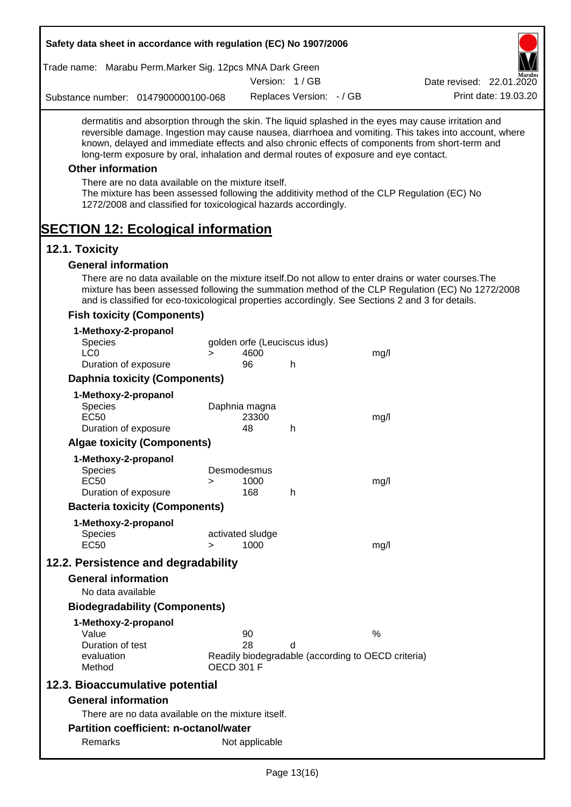| Safety data sheet in accordance with regulation (EC) No 1907/2006                                                                                                                                                                                                                                                                                                                                                                                                                                                                                    |                   |                            |                              |                                                            |                                                                                                       |
|------------------------------------------------------------------------------------------------------------------------------------------------------------------------------------------------------------------------------------------------------------------------------------------------------------------------------------------------------------------------------------------------------------------------------------------------------------------------------------------------------------------------------------------------------|-------------------|----------------------------|------------------------------|------------------------------------------------------------|-------------------------------------------------------------------------------------------------------|
| Trade name: Marabu Perm.Marker Sig. 12pcs MNA Dark Green                                                                                                                                                                                                                                                                                                                                                                                                                                                                                             |                   |                            |                              |                                                            |                                                                                                       |
|                                                                                                                                                                                                                                                                                                                                                                                                                                                                                                                                                      |                   |                            | Version: 1/GB                |                                                            | Date revised: 22.01.2020                                                                              |
| Substance number: 0147900000100-068                                                                                                                                                                                                                                                                                                                                                                                                                                                                                                                  |                   |                            | Replaces Version: - / GB     |                                                            | Print date: 19.03.20                                                                                  |
| dermatitis and absorption through the skin. The liquid splashed in the eyes may cause irritation and<br>known, delayed and immediate effects and also chronic effects of components from short-term and<br>long-term exposure by oral, inhalation and dermal routes of exposure and eye contact.<br><b>Other information</b><br>There are no data available on the mixture itself.<br>The mixture has been assessed following the additivity method of the CLP Regulation (EC) No<br>1272/2008 and classified for toxicological hazards accordingly. |                   |                            |                              |                                                            | reversible damage. Ingestion may cause nausea, diarrhoea and vomiting. This takes into account, where |
| <b>SECTION 12: Ecological information</b><br>12.1. Toxicity                                                                                                                                                                                                                                                                                                                                                                                                                                                                                          |                   |                            |                              |                                                            |                                                                                                       |
| <b>General information</b>                                                                                                                                                                                                                                                                                                                                                                                                                                                                                                                           |                   |                            |                              |                                                            |                                                                                                       |
| There are no data available on the mixture itself. Do not allow to enter drains or water courses. The<br>and is classified for eco-toxicological properties accordingly. See Sections 2 and 3 for details.                                                                                                                                                                                                                                                                                                                                           |                   |                            |                              |                                                            | mixture has been assessed following the summation method of the CLP Regulation (EC) No 1272/2008      |
| <b>Fish toxicity (Components)</b>                                                                                                                                                                                                                                                                                                                                                                                                                                                                                                                    |                   |                            |                              |                                                            |                                                                                                       |
| 1-Methoxy-2-propanol<br>Species<br>LC <sub>0</sub>                                                                                                                                                                                                                                                                                                                                                                                                                                                                                                   | $\geq$            | 4600                       | golden orfe (Leuciscus idus) | mg/l                                                       |                                                                                                       |
| Duration of exposure                                                                                                                                                                                                                                                                                                                                                                                                                                                                                                                                 |                   | 96                         | h                            |                                                            |                                                                                                       |
| <b>Daphnia toxicity (Components)</b>                                                                                                                                                                                                                                                                                                                                                                                                                                                                                                                 |                   |                            |                              |                                                            |                                                                                                       |
| 1-Methoxy-2-propanol<br>Species<br><b>EC50</b>                                                                                                                                                                                                                                                                                                                                                                                                                                                                                                       |                   | Daphnia magna<br>23300     |                              | mg/l                                                       |                                                                                                       |
| Duration of exposure                                                                                                                                                                                                                                                                                                                                                                                                                                                                                                                                 |                   | 48                         | h                            |                                                            |                                                                                                       |
| <b>Algae toxicity (Components)</b>                                                                                                                                                                                                                                                                                                                                                                                                                                                                                                                   |                   |                            |                              |                                                            |                                                                                                       |
| 1-Methoxy-2-propanol<br><b>Species</b><br><b>EC50</b><br>Duration of exposure                                                                                                                                                                                                                                                                                                                                                                                                                                                                        | $\geq$            | Desmodesmus<br>1000<br>168 | h                            | mg/l                                                       |                                                                                                       |
| <b>Bacteria toxicity (Components)</b>                                                                                                                                                                                                                                                                                                                                                                                                                                                                                                                |                   |                            |                              |                                                            |                                                                                                       |
| 1-Methoxy-2-propanol                                                                                                                                                                                                                                                                                                                                                                                                                                                                                                                                 |                   |                            |                              |                                                            |                                                                                                       |
| <b>Species</b><br><b>EC50</b>                                                                                                                                                                                                                                                                                                                                                                                                                                                                                                                        | $\geq$            | activated sludge<br>1000   |                              | mg/l                                                       |                                                                                                       |
| 12.2. Persistence and degradability                                                                                                                                                                                                                                                                                                                                                                                                                                                                                                                  |                   |                            |                              |                                                            |                                                                                                       |
| <b>General information</b><br>No data available                                                                                                                                                                                                                                                                                                                                                                                                                                                                                                      |                   |                            |                              |                                                            |                                                                                                       |
| <b>Biodegradability (Components)</b>                                                                                                                                                                                                                                                                                                                                                                                                                                                                                                                 |                   |                            |                              |                                                            |                                                                                                       |
|                                                                                                                                                                                                                                                                                                                                                                                                                                                                                                                                                      |                   |                            |                              |                                                            |                                                                                                       |
| 1-Methoxy-2-propanol<br>Value<br>Duration of test<br>evaluation                                                                                                                                                                                                                                                                                                                                                                                                                                                                                      | <b>OECD 301 F</b> | 90<br>28                   | d                            | $\%$<br>Readily biodegradable (according to OECD criteria) |                                                                                                       |
| Method<br>12.3. Bioaccumulative potential                                                                                                                                                                                                                                                                                                                                                                                                                                                                                                            |                   |                            |                              |                                                            |                                                                                                       |
| <b>General information</b>                                                                                                                                                                                                                                                                                                                                                                                                                                                                                                                           |                   |                            |                              |                                                            |                                                                                                       |
| There are no data available on the mixture itself.                                                                                                                                                                                                                                                                                                                                                                                                                                                                                                   |                   |                            |                              |                                                            |                                                                                                       |
| <b>Partition coefficient: n-octanol/water</b>                                                                                                                                                                                                                                                                                                                                                                                                                                                                                                        |                   |                            |                              |                                                            |                                                                                                       |
| Remarks                                                                                                                                                                                                                                                                                                                                                                                                                                                                                                                                              |                   | Not applicable             |                              |                                                            |                                                                                                       |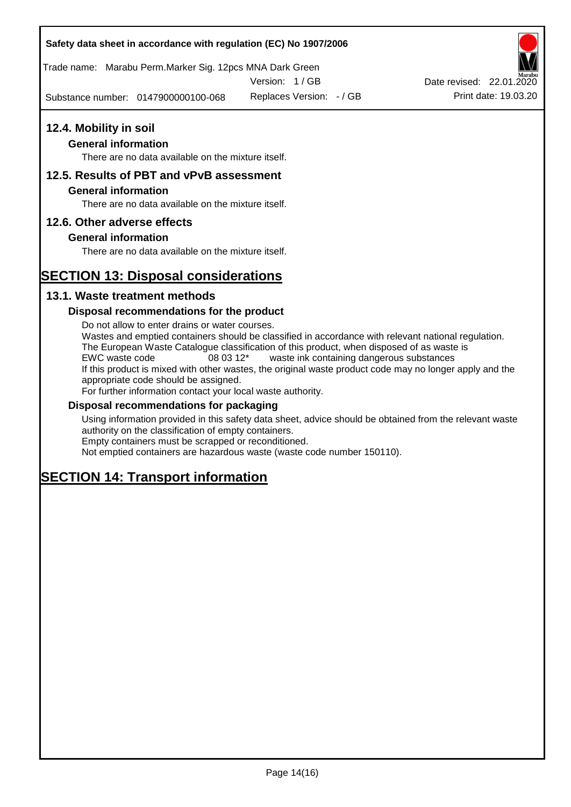# **Safety data sheet in accordance with regulation (EC) No 1907/2006**

Trade name: Marabu Perm.Marker Sig. 12pcs MNA Dark Green

Version: 1 / GB

Substance number: 0147900000100-068



# **General information**

There are no data available on the mixture itself.

# **12.5. Results of PBT and vPvB assessment**

### **General information**

There are no data available on the mixture itself.

# **12.6. Other adverse effects**

# **General information**

There are no data available on the mixture itself.

# **SECTION 13: Disposal considerations**

# **13.1. Waste treatment methods**

### **Disposal recommendations for the product**

Do not allow to enter drains or water courses. Wastes and emptied containers should be classified in accordance with relevant national regulation. The European Waste Catalogue classification of this product, when disposed of as waste is EWC waste code 08 03 12\* waste ink containing dangerous substances If this product is mixed with other wastes, the original waste product code may no longer apply and the appropriate code should be assigned. For further information contact your local waste authority.

### **Disposal recommendations for packaging**

Using information provided in this safety data sheet, advice should be obtained from the relevant waste authority on the classification of empty containers. Empty containers must be scrapped or reconditioned.

Not emptied containers are hazardous waste (waste code number 150110).

# **SECTION 14: Transport information**



Replaces Version:  $-$  / GB Print date: 19.03.20 Date revised: 22.01.2020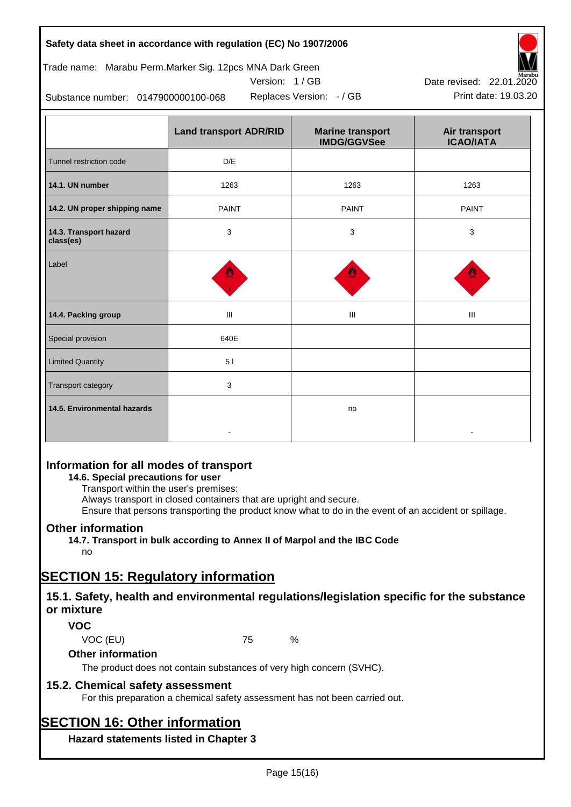| Safety data sheet in accordance with regulation (EC) No 1907/2006 |  |
|-------------------------------------------------------------------|--|
|-------------------------------------------------------------------|--|

Trade name: Marabu Perm.Marker Sig. 12pcs MNA Dark Green

Version: 1 / GB



Replaces Version:  $-$  / GB Print date: 19.03.20 Date revised: 22.01.2020

Substance number: 0147900000100-068

|                                     | <b>Land transport ADR/RID</b> | <b>Marine transport</b><br><b>IMDG/GGVSee</b> | Air transport<br><b>ICAO/IATA</b> |
|-------------------------------------|-------------------------------|-----------------------------------------------|-----------------------------------|
| Tunnel restriction code             | D/E                           |                                               |                                   |
| 14.1. UN number                     | 1263                          | 1263                                          | 1263                              |
| 14.2. UN proper shipping name       | <b>PAINT</b>                  | <b>PAINT</b>                                  | <b>PAINT</b>                      |
| 14.3. Transport hazard<br>class(es) | 3                             | 3                                             | 3                                 |
| Label                               |                               |                                               |                                   |
| 14.4. Packing group                 | $\mathbf{III}$                | Ш                                             | Ш                                 |
| Special provision                   | 640E                          |                                               |                                   |
| <b>Limited Quantity</b>             | 51                            |                                               |                                   |
| Transport category                  | 3                             |                                               |                                   |
| 14.5. Environmental hazards         |                               | no                                            |                                   |

# **Information for all modes of transport**

**14.6. Special precautions for user**

Transport within the user's premises:

Always transport in closed containers that are upright and secure.

Ensure that persons transporting the product know what to do in the event of an accident or spillage.

# **Other information**

**14.7. Transport in bulk according to Annex II of Marpol and the IBC Code** no

# **SECTION 15: Regulatory information**

# **15.1. Safety, health and environmental regulations/legislation specific for the substance or mixture**

# **VOC**

VOC (EU) 75 %

**Other information**

The product does not contain substances of very high concern (SVHC).

# **15.2. Chemical safety assessment**

For this preparation a chemical safety assessment has not been carried out.

# **SECTION 16: Other information**

**Hazard statements listed in Chapter 3**